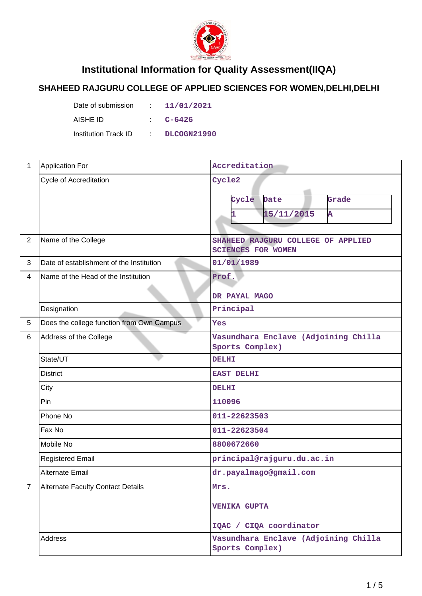

## **Institutional Information for Quality Assessment(IIQA)**

## **SHAHEED RAJGURU COLLEGE OF APPLIED SCIENCES FOR WOMEN,DELHI,DELHI**

Date of submission : 11/01/2021 AISHE ID : **C-6426**

Institution Track ID : **DLCOGN21990**

| 1              | <b>Application For</b>                    | Accreditation                                                   |  |  |
|----------------|-------------------------------------------|-----------------------------------------------------------------|--|--|
|                | Cycle of Accreditation                    | Cycle2                                                          |  |  |
|                |                                           | Cycle<br>Date<br>Grade                                          |  |  |
|                |                                           | 15/11/2015<br>A<br>1                                            |  |  |
|                |                                           |                                                                 |  |  |
| $\overline{2}$ | Name of the College                       | SHAHEED RAJGURU COLLEGE OF APPLIED<br><b>SCIENCES FOR WOMEN</b> |  |  |
| 3              | Date of establishment of the Institution  | 01/01/1989                                                      |  |  |
| $\overline{4}$ | Name of the Head of the Institution       | Prof.                                                           |  |  |
|                |                                           | DR PAYAL MAGO                                                   |  |  |
|                | Designation                               | Principal                                                       |  |  |
| 5              | Does the college function from Own Campus | Yes                                                             |  |  |
| 6              | Address of the College                    | Vasundhara Enclave (Adjoining Chilla<br>Sports Complex)         |  |  |
|                | State/UT                                  | <b>DELHI</b>                                                    |  |  |
|                | <b>District</b>                           | <b>EAST DELHI</b>                                               |  |  |
|                | City                                      | <b>DELHI</b>                                                    |  |  |
|                | Pin                                       | 110096                                                          |  |  |
|                | Phone No                                  | 011-22623503                                                    |  |  |
|                | Fax No                                    | 011-22623504                                                    |  |  |
|                | Mobile No                                 | 8800672660                                                      |  |  |
|                | <b>Registered Email</b>                   | principal@rajguru.du.ac.in                                      |  |  |
|                | Alternate Email                           | dr.payalmago@gmail.com                                          |  |  |
| $\overline{7}$ | <b>Alternate Faculty Contact Details</b>  | Mrs.                                                            |  |  |
|                |                                           | <b>VENIKA GUPTA</b>                                             |  |  |
|                |                                           | IQAC / CIQA coordinator                                         |  |  |
|                | <b>Address</b>                            | Vasundhara Enclave (Adjoining Chilla<br>Sports Complex)         |  |  |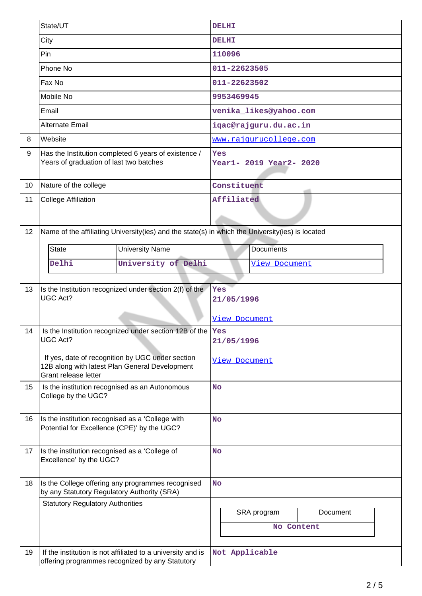|    | State/UT                                                                                           | <b>DELHI</b>                   |  |  |  |  |
|----|----------------------------------------------------------------------------------------------------|--------------------------------|--|--|--|--|
|    | City                                                                                               | <b>DELHI</b>                   |  |  |  |  |
|    | Pin                                                                                                | 110096                         |  |  |  |  |
|    | Phone No                                                                                           | 011-22623505                   |  |  |  |  |
|    | Fax No                                                                                             | 011-22623502                   |  |  |  |  |
|    | Mobile No                                                                                          | 9953469945                     |  |  |  |  |
|    | Email                                                                                              | venika_likes@yahoo.com         |  |  |  |  |
|    | <b>Alternate Email</b>                                                                             | iqac@rajguru.du.ac.in          |  |  |  |  |
| 8  | Website                                                                                            | www.rajqurucollege.com         |  |  |  |  |
| 9  | Has the Institution completed 6 years of existence /<br>Years of graduation of last two batches    | Yes<br>Year1- 2019 Year2- 2020 |  |  |  |  |
| 10 | Nature of the college                                                                              | Constituent                    |  |  |  |  |
| 11 | <b>College Affiliation</b>                                                                         | Affiliated                     |  |  |  |  |
|    |                                                                                                    |                                |  |  |  |  |
| 12 | Name of the affiliating University(ies) and the state(s) in which the University(ies) is located   |                                |  |  |  |  |
|    | <b>State</b><br><b>University Name</b>                                                             | <b>Documents</b>               |  |  |  |  |
|    | University of Delhi<br>Delhi                                                                       | <b>View Document</b>           |  |  |  |  |
|    |                                                                                                    |                                |  |  |  |  |
| 13 | Is the Institution recognized under section 2(f) of the                                            | Yes                            |  |  |  |  |
|    | <b>UGC Act?</b>                                                                                    | 21/05/1996                     |  |  |  |  |
|    |                                                                                                    | View Document                  |  |  |  |  |
| 14 | Is the Institution recognized under section 12B of the Yes                                         |                                |  |  |  |  |
|    | UGC Act?                                                                                           | 21/05/1996                     |  |  |  |  |
|    | If yes, date of recognition by UGC under section<br>12B along with latest Plan General Development | <u>View Document</u>           |  |  |  |  |
|    | Grant release letter                                                                               |                                |  |  |  |  |
| 15 | Is the institution recognised as an Autonomous<br>College by the UGC?                              | <b>No</b>                      |  |  |  |  |
|    |                                                                                                    |                                |  |  |  |  |
| 16 | Is the institution recognised as a 'College with                                                   | <b>No</b>                      |  |  |  |  |
|    | Potential for Excellence (CPE)' by the UGC?                                                        |                                |  |  |  |  |
| 17 | Is the institution recognised as a 'College of                                                     | <b>No</b>                      |  |  |  |  |
|    | Excellence' by the UGC?                                                                            |                                |  |  |  |  |
|    |                                                                                                    |                                |  |  |  |  |
| 18 | Is the College offering any programmes recognised<br>by any Statutory Regulatory Authority (SRA)   | <b>No</b>                      |  |  |  |  |
|    | <b>Statutory Regulatory Authorities</b>                                                            |                                |  |  |  |  |
|    |                                                                                                    | SRA program<br>Document        |  |  |  |  |
|    |                                                                                                    | No Content                     |  |  |  |  |
| 19 | If the institution is not affiliated to a university and is                                        | Not Applicable                 |  |  |  |  |
|    | offering programmes recognized by any Statutory                                                    |                                |  |  |  |  |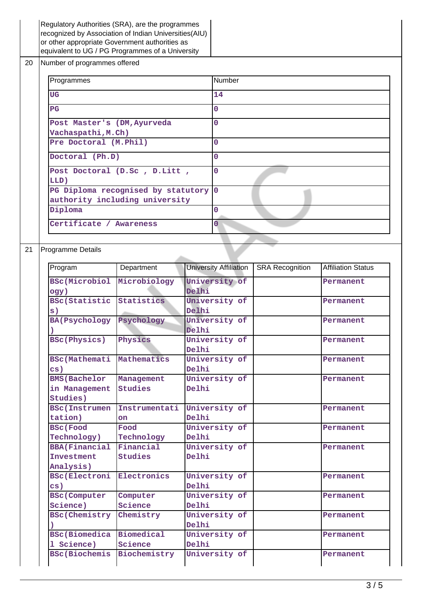|    | Regulatory Authorities (SRA), are the programmes<br>recognized by Association of Indian Universities (AIU)<br>or other appropriate Government authorities as<br>equivalent to UG / PG Programmes of a University |                                    |       |                                                                                   |                        |                           |  |
|----|------------------------------------------------------------------------------------------------------------------------------------------------------------------------------------------------------------------|------------------------------------|-------|-----------------------------------------------------------------------------------|------------------------|---------------------------|--|
| 20 | Number of programmes offered                                                                                                                                                                                     |                                    |       |                                                                                   |                        |                           |  |
|    | Programmes                                                                                                                                                                                                       |                                    |       | Number                                                                            |                        |                           |  |
|    | UG                                                                                                                                                                                                               |                                    |       | 14                                                                                |                        |                           |  |
|    | PG                                                                                                                                                                                                               |                                    |       | 0                                                                                 |                        |                           |  |
|    |                                                                                                                                                                                                                  | Post Master's (DM, Ayurveda        |       | $\overline{0}$                                                                    |                        |                           |  |
|    |                                                                                                                                                                                                                  | Vachaspathi, M.Ch)                 |       | $\overline{0}$                                                                    |                        |                           |  |
|    |                                                                                                                                                                                                                  | Pre Doctoral (M.Phil)              |       | $\mathbf{0}$                                                                      |                        |                           |  |
|    |                                                                                                                                                                                                                  | Doctoral (Ph.D)                    |       |                                                                                   |                        |                           |  |
|    | Post Doctoral (D.Sc , D.Litt ,<br>LLD)                                                                                                                                                                           |                                    |       | $\mathbf{0}$                                                                      |                        |                           |  |
|    |                                                                                                                                                                                                                  | PG Diploma recognised by statutory |       | <b>0</b>                                                                          |                        |                           |  |
|    | authority including university<br>Diploma                                                                                                                                                                        |                                    |       | $\mathbf{0}$                                                                      |                        |                           |  |
|    |                                                                                                                                                                                                                  |                                    |       |                                                                                   |                        |                           |  |
|    | Certificate / Awareness                                                                                                                                                                                          |                                    |       | $\mathbf{O}$                                                                      |                        |                           |  |
|    |                                                                                                                                                                                                                  |                                    |       |                                                                                   |                        |                           |  |
| 21 | Programme Details                                                                                                                                                                                                |                                    |       |                                                                                   |                        |                           |  |
|    | Program                                                                                                                                                                                                          | Department                         |       | <b>University Affiliation</b>                                                     | <b>SRA Recognition</b> | <b>Affiliation Status</b> |  |
|    | BSc(Microbiol                                                                                                                                                                                                    | Microbiology                       |       | University of                                                                     |                        | Permanent                 |  |
|    | ogy)<br><b>BSc(Statistic</b>                                                                                                                                                                                     | Statistics                         | Delhi | University of<br>University of<br>University of<br>University of<br>University of |                        |                           |  |
|    | $\mathbf{s}$ )                                                                                                                                                                                                   |                                    | Delhi |                                                                                   |                        | Permanent                 |  |
|    | <b>BA(Psychology</b>                                                                                                                                                                                             | Psychology                         |       |                                                                                   |                        | Permanent                 |  |
|    | BSc(Physics)                                                                                                                                                                                                     | Physics                            | Delhi |                                                                                   |                        | Permanent                 |  |
|    |                                                                                                                                                                                                                  |                                    | Delhi |                                                                                   |                        |                           |  |
|    | <b>BSc(Mathemati</b>                                                                                                                                                                                             | Mathematics                        |       |                                                                                   |                        | Permanent                 |  |
|    | cs)<br><b>BMS (Bachelor</b>                                                                                                                                                                                      | Management                         | Delhi |                                                                                   |                        | Permanent                 |  |
|    | in Management                                                                                                                                                                                                    | <b>Studies</b>                     | Delhi |                                                                                   |                        |                           |  |
|    | Studies)                                                                                                                                                                                                         |                                    |       |                                                                                   |                        |                           |  |
|    | <b>BSc(Instrumen</b><br>tation)                                                                                                                                                                                  | Instrumentati<br>on.               | Delhi | University of                                                                     |                        | Permanent                 |  |
|    | <b>BSc</b> (Food                                                                                                                                                                                                 | Food                               |       | University of                                                                     |                        | Permanent                 |  |
|    | Technology)                                                                                                                                                                                                      | Technology                         | Delhi |                                                                                   |                        |                           |  |
|    | <b>BBA</b> (Financial                                                                                                                                                                                            | Financial                          |       | University of                                                                     |                        | Permanent                 |  |
|    | Investment<br>Analysis)                                                                                                                                                                                          | <b>Studies</b>                     | Delhi |                                                                                   |                        |                           |  |
|    | <b>BSc(Electroni</b>                                                                                                                                                                                             | Electronics                        |       | University of                                                                     |                        | Permanent                 |  |
|    | $\mathbf{cs}$ )                                                                                                                                                                                                  |                                    | Delhi |                                                                                   |                        |                           |  |
|    | <b>BSc(Computer</b><br>Science)                                                                                                                                                                                  | Computer<br>Science                | Delhi | University of                                                                     |                        | Permanent                 |  |
|    | <b>BSc(Chemistry</b>                                                                                                                                                                                             | Chemistry                          |       | University of                                                                     |                        | Permanent                 |  |
|    |                                                                                                                                                                                                                  |                                    | Delhi |                                                                                   |                        |                           |  |
|    | <b>BSc(Biomedica</b><br>1 Science)                                                                                                                                                                               | Biomedical<br>Science              | Delhi | University of                                                                     |                        | Permanent                 |  |
|    | <b>BSc(Biochemis</b>                                                                                                                                                                                             | Biochemistry                       |       | University of                                                                     |                        | Permanent                 |  |
|    |                                                                                                                                                                                                                  |                                    |       |                                                                                   |                        |                           |  |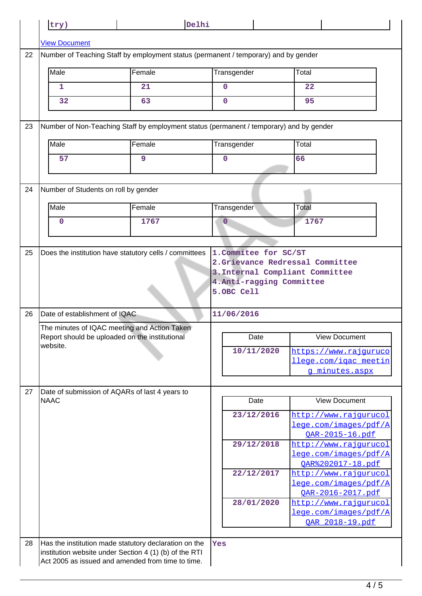|    | try)                                                                                                                      | Delhi                                                                                                       |             |                       |       |                                                                                                        |  |  |
|----|---------------------------------------------------------------------------------------------------------------------------|-------------------------------------------------------------------------------------------------------------|-------------|-----------------------|-------|--------------------------------------------------------------------------------------------------------|--|--|
|    | <b>View Document</b>                                                                                                      |                                                                                                             |             |                       |       |                                                                                                        |  |  |
| 22 | Number of Teaching Staff by employment status (permanent / temporary) and by gender                                       |                                                                                                             |             |                       |       |                                                                                                        |  |  |
|    | Male<br>Female                                                                                                            |                                                                                                             |             | Transgender           |       | Total                                                                                                  |  |  |
|    | 1                                                                                                                         | 21                                                                                                          | $\mathbf 0$ |                       | 22    |                                                                                                        |  |  |
|    | 32                                                                                                                        | 63                                                                                                          | $\mathbf 0$ |                       | 95    |                                                                                                        |  |  |
| 23 | Number of Non-Teaching Staff by employment status (permanent / temporary) and by gender                                   |                                                                                                             |             |                       |       |                                                                                                        |  |  |
|    | Male                                                                                                                      | Female                                                                                                      | Transgender |                       | Total |                                                                                                        |  |  |
|    | 57                                                                                                                        | 9                                                                                                           | $\mathbf 0$ |                       | 66    |                                                                                                        |  |  |
| 24 | Number of Students on roll by gender                                                                                      |                                                                                                             |             |                       |       |                                                                                                        |  |  |
|    | Male                                                                                                                      | Female                                                                                                      | Transgender |                       | Total |                                                                                                        |  |  |
|    | 0                                                                                                                         | 1767                                                                                                        | $\mathbf 0$ |                       | 1767  |                                                                                                        |  |  |
| 25 |                                                                                                                           | Does the institution have statutory cells / committees                                                      |             | 1. Commitee for SC/ST |       |                                                                                                        |  |  |
| 26 | 3. Internal Compliant Committee<br>4. Anti-ragging Committee<br>5.OBC Cell<br>Date of establishment of IQAC<br>11/06/2016 |                                                                                                             |             |                       |       |                                                                                                        |  |  |
|    | The minutes of IQAC meeting and Action Taken                                                                              |                                                                                                             |             |                       |       |                                                                                                        |  |  |
|    | website.                                                                                                                  | Report should be uploaded on the institutional                                                              |             | Date                  |       | <b>View Document</b>                                                                                   |  |  |
|    |                                                                                                                           |                                                                                                             |             | 10/11/2020            |       | https://www.rajguruco<br>llege.com/igac meetin<br>g minutes.aspx                                       |  |  |
|    |                                                                                                                           |                                                                                                             |             |                       |       |                                                                                                        |  |  |
| 27 | Date of submission of AQARs of last 4 years to<br><b>NAAC</b>                                                             |                                                                                                             |             | Date                  |       | <b>View Document</b>                                                                                   |  |  |
|    |                                                                                                                           |                                                                                                             |             | 23/12/2016            |       | http://www.rajqurucol                                                                                  |  |  |
|    |                                                                                                                           |                                                                                                             |             |                       |       | lege.com/images/pdf/A<br><u>QAR-2015-16.pdf</u>                                                        |  |  |
|    |                                                                                                                           |                                                                                                             |             | 29/12/2018            |       | http://www.rajqurucol<br>lege.com/images/pdf/A                                                         |  |  |
|    |                                                                                                                           |                                                                                                             |             | 22/12/2017            |       | <u>QAR%202017-18.pdf</u><br>http://www.rajqurucol<br>lege.com/images/pdf/A<br><u>QAR-2016-2017.pdf</u> |  |  |
|    |                                                                                                                           |                                                                                                             |             | 28/01/2020            |       | http://www.rajqurucol<br>lege.com/images/pdf/A<br><u>QAR_2018-19.pdf</u>                               |  |  |
| 28 |                                                                                                                           | Has the institution made statutory declaration on the                                                       | Yes         |                       |       |                                                                                                        |  |  |
|    |                                                                                                                           | institution website under Section 4 (1) (b) of the RTI<br>Act 2005 as issued and amended from time to time. |             |                       |       |                                                                                                        |  |  |